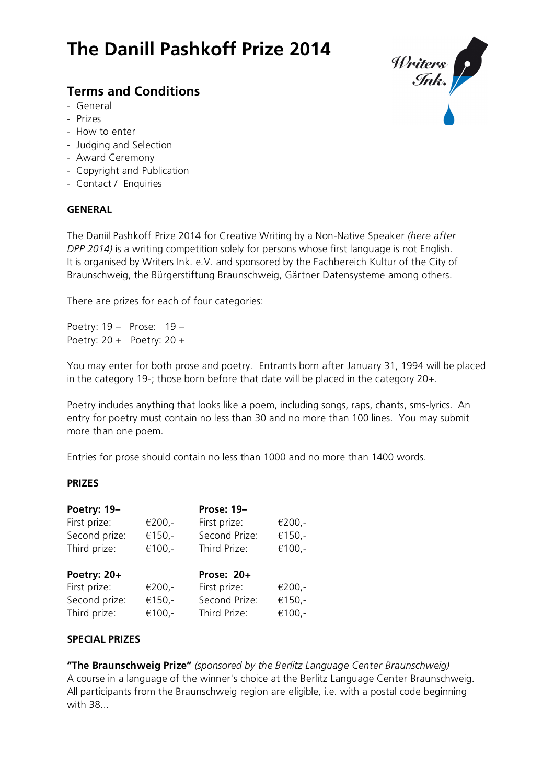# **The Danill Pashkoff Prize 2014**

# **Terms and Conditions**

- General
- Prizes
- How to enter
- Judging and Selection
- Award Ceremony
- Copyright and Publication
- Contact / Enquiries

#### **GENERAL**

The Daniil Pashkoff Prize 2014 for Creative Writing by a Non-Native Speaker *(here after DPP 2014)* is a writing competition solely for persons whose first language is not English. It is organised by Writers Ink. e.V. and sponsored by the Fachbereich Kultur of the City of Braunschweig, the Bürgerstiftung Braunschweig, Gärtner Datensysteme among others.

There are prizes for each of four categories:

Poetry: 19 – Prose: 19 – Poetry: 20 + Poetry: 20 +

You may enter for both prose and poetry. Entrants born after January 31, 1994 will be placed in the category 19-; those born before that date will be placed in the category 20+.

Poetry includes anything that looks like a poem, including songs, raps, chants, sms-lyrics. An entry for poetry must contain no less than 30 and no more than 100 lines. You may submit more than one poem.

Entries for prose should contain no less than 1000 and no more than 1400 words.

## **PRIZES**

| Poetry: 19-   |        | <b>Prose: 19-</b> |          |
|---------------|--------|-------------------|----------|
| First prize:  | €200,- | First prize:      | $€200,-$ |
| Second prize: | €150,- | Second Prize:     | €150,-   |
| Third prize:  | €100,- | Third Prize:      | €100,-   |
| Poetry: 20+   |        | Prose: 20+        |          |
| First prize:  | €200,- | First prize:      | $€200,-$ |
| Second prize: | €150,- | Second Prize:     | €150,-   |
| Third prize:  | €100,- | Third Prize:      | €100,-   |

## **SPECIAL PRIZES**

**"The Braunschweig Prize"** *(sponsored by the Berlitz Language Center Braunschweig)* A course in a language of the winner's choice at the Berlitz Language Center Braunschweig. All participants from the Braunschweig region are eligible, i.e. with a postal code beginning with 38...

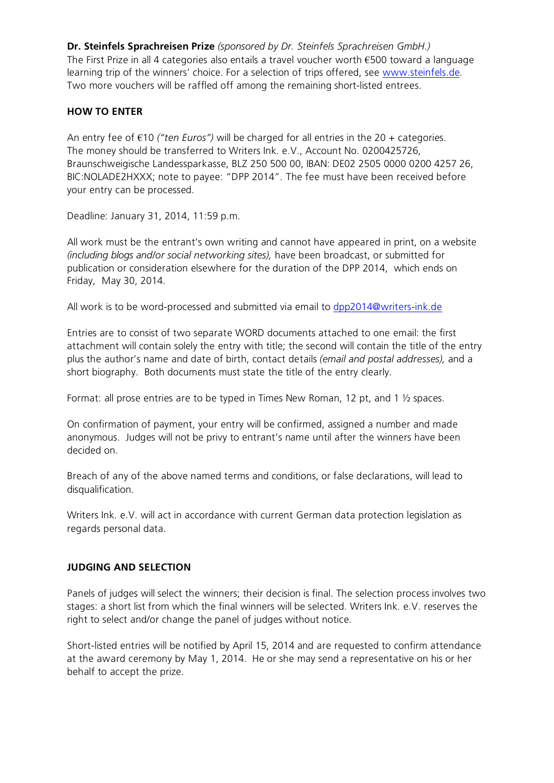**Dr. Steinfels Sprachreisen Prize** *(sponsored by Dr. Steinfels Sprachreisen GmbH.)* The First Prize in all 4 categories also entails a travel voucher worth  $\epsilon$ 500 toward a language learning trip of the winners' choice. For a selection of trips offered, see www.steinfels.de. Two more vouchers will be raffled off among the remaining short-listed entrees.

# **HOW TO ENTER**

An entry fee of  $\epsilon$ 10 *("ten Euros")* will be charged for all entries in the 20 + categories. The money should be transferred to Writers Ink. e.V., Account No. 0200425726, Braunschweigische Landessparkasse, BLZ 250 500 00, IBAN: DE02 2505 0000 0200 4257 26, BIC:NOLADE2HXXX; note to payee: "DPP 2014". The fee must have been received before your entry can be processed.

Deadline: January 31, 2014, 11:59 p.m.

All work must be the entrant's own writing and cannot have appeared in print, on a website *(including blogs and/or social networking sites),* have been broadcast, or submitted for publication or consideration elsewhere for the duration of the DPP 2014, which ends on Friday, May 30, 2014.

All work is to be word-processed and submitted via email to dpp2014@writers-ink.de

Entries are to consist of two separate WORD documents attached to one email: the first attachment will contain solely the entry with title; the second will contain the title of the entry plus the author's name and date of birth, contact details *(email and postal addresses),* and a short biography. Both documents must state the title of the entry clearly.

Format: all prose entries are to be typed in Times New Roman, 12 pt, and 1 ½ spaces.

On confirmation of payment, your entry will be confirmed, assigned a number and made anonymous. Judges will not be privy to entrant's name until after the winners have been decided on.

Breach of any of the above named terms and conditions, or false declarations, will lead to disqualification.

Writers Ink. e.V. will act in accordance with current German data protection legislation as regards personal data.

## **JUDGING AND SELECTION**

Panels of judges will select the winners; their decision is final. The selection process involves two stages: a short list from which the final winners will be selected. Writers Ink. e.V. reserves the right to select and/or change the panel of judges without notice.

Short-listed entries will be notified by April 15, 2014 and are requested to confirm attendance at the award ceremony by May 1, 2014. He or she may send a representative on his or her behalf to accept the prize.